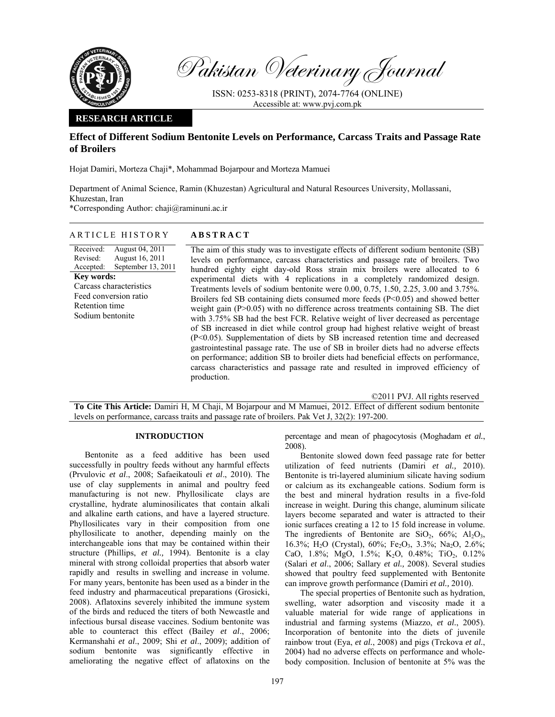

Pakistan Veterinary Journal

ISSN: 0253-8318 (PRINT), 2074-7764 (ONLINE) Accessible at: www.pvj.com.pk

## **RESEARCH ARTICLE**

# **Effect of Different Sodium Bentonite Levels on Performance, Carcass Traits and Passage Rate of Broilers**

Hojat Damiri, Morteza Chaji\*, Mohammad Bojarpour and Morteza Mamuei

Department of Animal Science, Ramin (Khuzestan) Agricultural and Natural Resources University, Mollassani, Khuzestan, Iran

\*Corresponding Author: chaji@raminuni.ac.ir

## ARTICLE HISTORY **ABSTRACT**

Received: Revised: Accepted: August 04, 2011 August 16, 2011 September 13, 2011 **Key words:**  Carcass characteristics Feed conversion ratio Retention time Sodium bentonite

The aim of this study was to investigate effects of different sodium bentonite (SB) levels on performance, carcass characteristics and passage rate of broilers. Two hundred eighty eight day-old Ross strain mix broilers were allocated to 6 experimental diets with 4 replications in a completely randomized design. Treatments levels of sodium bentonite were 0.00, 0.75, 1.50, 2.25, 3.00 and 3.75%. Broilers fed SB containing diets consumed more feeds (P<0.05) and showed better weight gain (P>0.05) with no difference across treatments containing SB. The diet with 3.75% SB had the best FCR. Relative weight of liver decreased as percentage of SB increased in diet while control group had highest relative weight of breast (P<0.05). Supplementation of diets by SB increased retention time and decreased gastrointestinal passage rate. The use of SB in broiler diets had no adverse effects on performance; addition SB to broiler diets had beneficial effects on performance, carcass characteristics and passage rate and resulted in improved efficiency of production.

©2011 PVJ. All rights reserved

**To Cite This Article:** Damiri H, M Chaji, M Bojarpour and M Mamuei, 2012. Effect of different sodium bentonite levels on performance, carcass traits and passage rate of broilers. Pak Vet J, 32(2): 197-200.

## **INTRODUCTION**

Bentonite as a feed additive has been used successfully in poultry feeds without any harmful effects (Prvulovic *et al*., 2008; Safaeikatouli *et al*., 2010). The use of clay supplements in animal and poultry feed manufacturing is not new. Phyllosilicate clays are crystalline, hydrate aluminosilicates that contain alkali and alkaline earth cations, and have a layered structure. Phyllosilicates vary in their composition from one phyllosilicate to another, depending mainly on the interchangeable ions that may be contained within their structure (Phillips, *et al.,* 1994). Bentonite is a clay mineral with strong colloidal properties that absorb water rapidly and results in swelling and increase in volume. For many years, bentonite has been used as a binder in the feed industry and pharmaceutical preparations (Grosicki, 2008). Aflatoxins severely inhibited the immune system of the birds and reduced the titers of both Newcastle and infectious bursal disease vaccines. Sodium bentonite was able to counteract this effect (Bailey *et al*., 2006; Kermanshahi *et al*., 2009; Shi *et al*., 2009); addition of sodium bentonite was significantly effective in ameliorating the negative effect of aflatoxins on the

percentage and mean of phagocytosis (Moghadam *et al.*, 2008).

Bentonite slowed down feed passage rate for better utilization of feed nutrients (Damiri *et al.,* 2010). Bentonite is tri-layered aluminium silicate having sodium or calcium as its exchangeable cations. Sodium form is the best and mineral hydration results in a five-fold increase in weight. During this change, aluminum silicate layers become separated and water is attracted to their ionic surfaces creating a 12 to 15 fold increase in volume. The ingredients of Bentonite are  $SiO_2$ ,  $66\%$ ;  $Al_2O_3$ , 16.3%; H<sub>2</sub>O (Crystal), 60%; Fe<sub>2</sub>O<sub>3</sub>, 3.3%; Na<sub>2</sub>O, 2.6%; CaO, 1.8%; MgO, 1.5%; K<sub>2</sub>O, 0.48%; TiO<sub>2</sub>, 0.12% (Salari *et al*., 2006; Sallary *et al.,* 2008). Several studies showed that poultry feed supplemented with Bentonite can improve growth performance (Damiri *et al.,* 2010).

The special properties of Bentonite such as hydration, swelling, water adsorption and viscosity made it a valuable material for wide range of applications in industrial and farming systems (Miazzo, *et al.*, 2005). Incorporation of bentonite into the diets of juvenile rainbow trout (Eya, *et al.*, 2008) and pigs (Trckova *et al.*, 2004) had no adverse effects on performance and wholebody composition. Inclusion of bentonite at 5% was the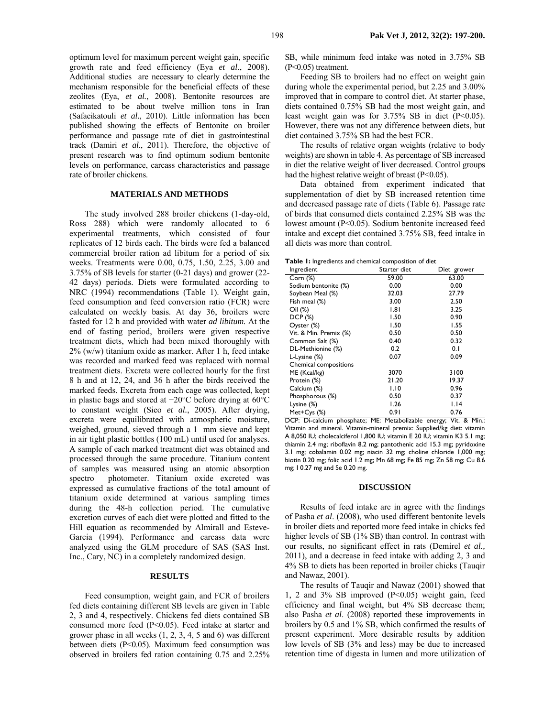optimum level for maximum percent weight gain, specific growth rate and feed efficiency (Eya *et al.*, 2008). Additional studies are necessary to clearly determine the mechanism responsible for the beneficial effects of these zeolites (Eya, *et al.*, 2008). Bentonite resources are estimated to be about twelve million tons in Iran (Safaeikatouli *et al.*, 2010). Little information has been published showing the effects of Bentonite on broiler performance and passage rate of diet in gastrointestinal track (Damiri *et al.*, 2011). Therefore, the objective of present research was to find optimum sodium bentonite levels on performance, carcass characteristics and passage rate of broiler chickens.

## **MATERIALS AND METHODS**

The study involved 288 broiler chickens (1-day-old, Ross 288) which were randomly allocated to 6 experimental treatments, which consisted of four replicates of 12 birds each. The birds were fed a balanced commercial broiler ration ad libitum for a period of six weeks. Treatments were 0.00, 0.75, 1.50, 2.25, 3.00 and 3.75% of SB levels for starter (0-21 days) and grower (22- 42 days) periods. Diets were formulated according to NRC (1994) recommendations (Table 1). Weight gain, feed consumption and feed conversion ratio (FCR) were calculated on weekly basis. At day 36, broilers were fasted for 12 h and provided with water *ad libitum.* At the end of fasting period, broilers were given respective treatment diets, which had been mixed thoroughly with 2% (w/w) titanium oxide as marker. After 1 h, feed intake was recorded and marked feed was replaced with normal treatment diets. Excreta were collected hourly for the first 8 h and at 12, 24, and 36 h after the birds received the marked feeds. Excreta from each cage was collected, kept in plastic bags and stored at −20°C before drying at 60°C to constant weight (Sieo *et al.*, 2005). After drying, excreta were equilibrated with atmospheric moisture, weighed, ground, sieved through a 1 mm sieve and kept in air tight plastic bottles (100 mL) until used for analyses. A sample of each marked treatment diet was obtained and processed through the same procedure. Titanium content of samples was measured using an atomic absorption spectro photometer. Titanium oxide excreted was expressed as cumulative fractions of the total amount of titanium oxide determined at various sampling times during the 48-h collection period. The cumulative excretion curves of each diet were plotted and fitted to the Hill equation as recommended by Almirall and Esteve-Garcia (1994). Performance and carcass data were analyzed using the GLM procedure of SAS (SAS Inst. Inc., Cary, NC) in a completely randomized design.

### **RESULTS**

Feed consumption, weight gain, and FCR of broilers fed diets containing different SB levels are given in Table 2, 3 and 4, respectively. Chickens fed diets contained SB consumed more feed (P<0.05). Feed intake at starter and grower phase in all weeks (1, 2, 3, 4, 5 and 6) was different between diets (P<0.05). Maximum feed consumption was observed in broilers fed ration containing 0.75 and 2.25% SB, while minimum feed intake was noted in 3.75% SB (P<0.05) treatment.

Feeding SB to broilers had no effect on weight gain during whole the experimental period, but 2.25 and 3.00% improved that in compare to control diet. At starter phase, diets contained 0.75% SB had the most weight gain, and least weight gain was for 3.75% SB in diet (P<0.05). However, there was not any difference between diets, but diet contained 3.75% SB had the best FCR.

The results of relative organ weights (relative to body weights) are shown in table 4. As percentage of SB increased in diet the relative weight of liver decreased. Control groups had the highest relative weight of breast (P<0.05).

Data obtained from experiment indicated that supplementation of diet by SB increased retention time and decreased passage rate of diets (Table 6). Passage rate of birds that consumed diets contained 2.25% SB was the lowest amount (P<0.05). Sodium bentonite increased feed intake and except diet contained 3.75% SB, feed intake in all diets was more than control.

**Table 1:** Ingredients and chemical composition of diet

| <b>Eable 1.</b> High editions and chemical composition of diet |                       |
|----------------------------------------------------------------|-----------------------|
|                                                                | Diet grower           |
|                                                                | 63.00                 |
| 0.00                                                           | 0.00                  |
| 32.03                                                          | 27.79                 |
| 3.00                                                           | 2.50                  |
| 1.81                                                           | 3.25                  |
| 1.50                                                           | 0.90                  |
| 1.50                                                           | 1.55                  |
| 0.50                                                           | 0.50                  |
| 0.40                                                           | 0.32                  |
| 0.2                                                            | 0.1                   |
| 0.07                                                           | 0.09                  |
|                                                                |                       |
| 3070                                                           | 3100                  |
| 21.20                                                          | 19.37                 |
| 1.10                                                           | 0.96                  |
| 0.50                                                           | 0.37                  |
| 1.26                                                           | 1.14                  |
| 0.91                                                           | 0.76                  |
|                                                                | Starter diet<br>59.00 |

DCP: Di-calcium phosphate; ME: Metabolizable energy; Vit. & Min.: Vitamin and mineral. Vitamin-mineral premix: Supplied/kg diet: vitamin A 8,050 IU; cholecalciferol 1,800 IU; vitamin E 20 IU; vitamin K3 5.1 mg; thiamin 2.4 mg; riboflavin 8.2 mg; pantothenic acid 15.3 mg; pyridoxine 3.1 mg; cobalamin 0.02 mg; niacin 32 mg; choline chloride 1,000 mg; biotin 0.20 mg; folic acid 1.2 mg; Mn 68 mg; Fe 85 mg; Zn 58 mg; Cu 8.6 mg; I 0.27 mg and Se 0.20 mg.

#### **DISCUSSION**

Results of feed intake are in agree with the findings of Pasha *et al*. (2008), who used different bentonite levels in broiler diets and reported more feed intake in chicks fed higher levels of SB (1% SB) than control. In contrast with our results, no significant effect in rats (Demirel *et al.,*  2011), and a decrease in feed intake with adding 2, 3 and 4% SB to diets has been reported in broiler chicks (Tauqir and Nawaz, 2001).

The results of Tauqir and Nawaz (2001) showed that 1, 2 and 3% SB improved (P<0.05) weight gain, feed efficiency and final weight, but 4% SB decrease them; also Pasha *et al*. (2008) reported these improvements in broilers by 0.5 and 1% SB, which confirmed the results of present experiment. More desirable results by addition low levels of SB (3% and less) may be due to increased retention time of digesta in lumen and more utilization of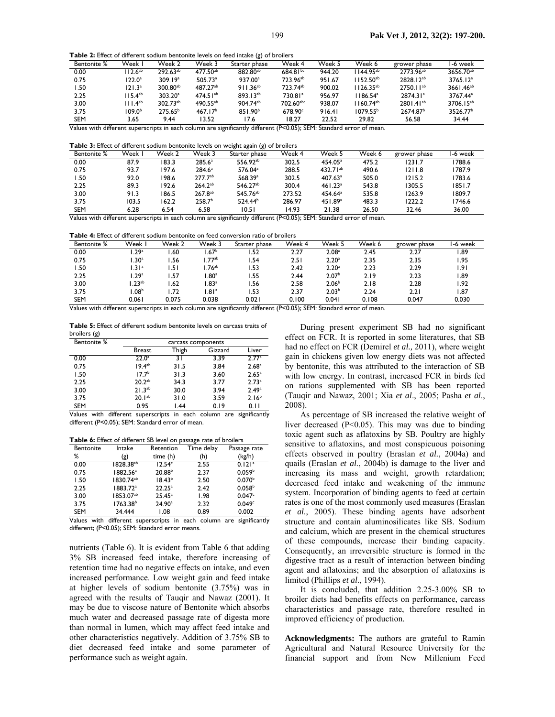**Table 2:** Effect of different sodium bentonite levels on feed intake (g) of broilers

| <b>Bentonite %</b> | Week                | Week 2               | Week 3                | Starter phase        | Week 4               | Week 5 | Week 6               | grower phase          | l-6 week              |
|--------------------|---------------------|----------------------|-----------------------|----------------------|----------------------|--------|----------------------|-----------------------|-----------------------|
| 0.00               | $112.6^{ab}$        | $292.63^{ab}$        | 477.50 <sup>ab</sup>  | 882.80 <sup>ab</sup> | $684.81^{bc}$        | 944.20 | $1144.95^{ab}$       | 2773.96 <sup>ab</sup> | 3656.70 <sup>ab</sup> |
| 0.75               | $122.0^\circ$       | 309.19 <sup>a</sup>  | $505.73$ <sup>a</sup> | 937.00 <sup>a</sup>  | 723.96 <sup>ab</sup> | 951.67 | $1152.50^{ab}$       | 2828.12 <sup>ab</sup> | 3765.12 <sup>a</sup>  |
| 1.50               | 121.3 <sup>a</sup>  | $300.80^{ab}$        | 487.27 <sup>ab</sup>  | $911.36^{ab}$        | 723.74 <sup>ab</sup> | 900.02 | $1126.35^{ab}$       | $2750.11^{ab}$        | 3661.46 <sup>ab</sup> |
| 2.25               | $115.4^{ab}$        | 303.20 <sup>a</sup>  | $474.51^{ab}$         | $893.13^{ab}$        | 730.81 <sup>a</sup>  | 956.97 | 1186.54 <sup>a</sup> | 2874.31 <sup>a</sup>  | 3767.44 <sup>a</sup>  |
| 3.00               | 111.4 <sup>ab</sup> | 302.73 <sup>ab</sup> | 490.55 <sup>ab</sup>  | 904.74 <sup>ab</sup> | 702.60abc            | 938.07 | $1160.74^{ab}$       | $2801.41^{ab}$        | 3706.15 <sup>ab</sup> |
| 3.75               | 109.0 <sup>b</sup>  | $275.65^{b}$         | 467.17 <sup>b</sup>   | $851.90^{b}$         | $678.90^\circ$       | 916.41 | $1079.55^{b}$        | 2674.87 <sup>b</sup>  | 3526.77 <sup>b</sup>  |
| <b>SEM</b>         | 3.65                | 9.44                 | 13.52                 | 17.6                 | 18.27                | 22.52  | 29.82                | 56.58                 | 34.44                 |

Values with different superscripts in each column are significantly different (P<0.05); SEM: Standard error of mean.

**Table 3:** Effect of different sodium bentonite levels on weight again (g) of broilers

| <b>Bentonite %</b> | Week  | Week 2 | Week 3             | $\omega$<br>Starter phase | Week 4 | Week 5                | Week 6 | grower phase | l-6 week |
|--------------------|-------|--------|--------------------|---------------------------|--------|-----------------------|--------|--------------|----------|
| 0.00               | 87.9  | 183.3  | 285.6 <sup>a</sup> | 556.92 <sup>ab</sup>      | 302.5  | 454.05 <sup>a</sup>   | 475.2  | 1231.7       | 1788.6   |
| 0.75               | 93.7  | 197.6  | $284.6^a$          | $576.04$ <sup>a</sup>     | 288.5  | $432.71^{ab}$         | 490.6  | 1211.8       | 1787.9   |
| l.50               | 92.0  | 198.6  | $277.7^{ab}$       | 568.39 <sup>a</sup>       | 302.5  | $407.63$ <sup>a</sup> | 505.0  | 1215.2       | 1783.6   |
| 2.25               | 89.3  | 192.6  | $264.2^{ab}$       | 546.27 <sup>ab</sup>      | 300.4  | 461.23 <sup>a</sup>   | 543.8  | 1305.5       | 1851.7   |
| 3.00               | 91.3  | 186.5  | $267.8^{ab}$       | 545.76 <sup>ab</sup>      | 273.52 | $454.64^a$            | 535.8  | 1263.9       | 1809.7   |
| 3.75               | 103.5 | 162.2  | 258.7 <sup>b</sup> | 524.44 <sup>b</sup>       | 286.97 | 451.89 <sup>a</sup>   | 483.3  | 1222.2       | 1746.6   |
| <b>SEM</b>         | 6.28  | 6.54   | 6.58               | 10.51                     | 14.93  | 21.38                 | 26.50  | 32.46        | 36.00    |

Values with different superscripts in each column are significantly different (P<0.05); SEM: Standard error of mean.

**Table 4:** Effect of different sodium bentonite on feed conversion ratio of broilers

| <b>Bentonite %</b> | Week              | Week 2 | Week 3            | Starter phase | Week 4 | Week 5            | Week 6 | grower phase | l-6 week |
|--------------------|-------------------|--------|-------------------|---------------|--------|-------------------|--------|--------------|----------|
| 0.00               | .29 <sup>°</sup>  | .60    | .67 <sup>b</sup>  | .52           | 2.27   | $2.08^{\rm a}$    | 2.45   | 2.27         | . 89     |
| 0.75               | .30 <sup>a</sup>  | .56    | .77 <sup>ab</sup> | .54           | 2.51   | 2.20 <sup>a</sup> | 2.35   | 2.35         | 1.95     |
| .50                | .31 <sup>a</sup>  | .51    | .76 <sup>ab</sup> | .53           | 2.42   | 2.20 <sup>a</sup> | 2.23   | 2.29         | 1.91     |
| 2.25               | .29 <sup>a</sup>  | 57،،   | .80 <sup>a</sup>  | .55           | 2.44   | 2.07 <sup>b</sup> | 2.19   | 2.23         | . 89     |
| 3.00               | .23 <sup>ab</sup> | .62    | .83 <sup>a</sup>  | .56           | 2.58   | 2.06 <sup>b</sup> | 2.18   | 2.28         | 1.92     |
| 3.75               | .08 <sup>b</sup>  | 1.72   | .81 <sup>a</sup>  | .53           | 2.37   | 2.03 <sup>b</sup> | 2.24   | 2.21         | 87. ،    |
| <b>SEM</b>         | 0.061             | 0.075  | 0.038             | 0.021         | 0.100  | 0.041             | 0.108  | 0.047        | 0.030    |

Values with different superscripts in each column are significantly different (P<0.05); SEM: Standard error of mean.

**Table 5:** Effect of different sodium bentonite levels on carcass traits of broilers (g)

| <b>Bentonite %</b>                  | carcass components |       |         |                   |  |
|-------------------------------------|--------------------|-------|---------|-------------------|--|
|                                     | <b>Breast</b>      | Thigh | Gizzard | Liver             |  |
| 0.00                                | $22.0^a$           | 31    | 3.39    | 2.77a             |  |
| 0.75                                | 19.4 <sup>ab</sup> | 31.5  | 3.84    | 2.68 <sup>a</sup> |  |
| 1.50                                | 17.7 <sup>b</sup>  | 31.3  | 3.60    | 2.65 <sup>a</sup> |  |
| 2.25                                | $20.2^{ab}$        | 34.3  | 3.77    | 2.73a             |  |
| 3.00                                | $21.3^{ab}$        | 30.0  | 3.94    | 2.49a             |  |
| 3.75                                | $20.1^{ab}$        | 31.0  | 3.59    | $2.16^{b}$        |  |
| <b>SEM</b>                          | 0.95               | 1.44  | 0.19    | 0.11              |  |
| $\overline{\phantom{a}}$<br><br>. . |                    |       |         | $\sim$ $\sim$     |  |

Values with different superscripts in each column are significantly different (P<0.05); SEM: Standard error of mean.

**Table 6:** Effect of different SB level on passage rate of broilers

| <b>Bentonite</b> | Intake                | Retention          | Time delay | Passage rate         |
|------------------|-----------------------|--------------------|------------|----------------------|
| %                | (g)                   | time (h)           | (h)        | (kg/h)               |
| 0.00             | $1828.38^{ab}$        | 12.54c             | 2.55       | $0.121$ <sup>a</sup> |
| 0.75             | 1882.56 <sup>a</sup>  | 20.88 <sup>b</sup> | 2.37       | 0.059 <sup>b</sup>   |
| 1.50             | 1830.74 <sup>ab</sup> | $18.43^{b}$        | 2.50       | 0.070 <sup>b</sup>   |
| 2.25             | 1883.72 <sup>a</sup>  | $22.25^a$          | 2.42       | 0.058 <sup>b</sup>   |
| 3.00             | 1853.07 <sup>ab</sup> | $25.45^a$          | 1.98       | 0.047c               |
| 3.75             | $1763.38^{b}$         | 24.90 <sup>a</sup> | 2.32       | 0.049 <sup>c</sup>   |
| <b>SEM</b>       | 34.444                | 1.08               | 0.89       | 0.002                |

Values with different superscripts in each column are significantly different; (P<0.05); SEM: Standard error means.

nutrients (Table 6). It is evident from Table 6 that adding 3% SB increased feed intake, therefore increasing of retention time had no negative effects on intake, and even increased performance. Low weight gain and feed intake at higher levels of sodium bentonite (3.75%) was in agreed with the results of Tauqir and Nawaz (2001). It may be due to viscose nature of Bentonite which absorbs much water and decreased passage rate of digesta more than normal in lumen, which may affect feed intake and other characteristics negatively. Addition of 3.75% SB to diet decreased feed intake and some parameter of performance such as weight again.

During present experiment SB had no significant effect on FCR. It is reported in some literatures, that SB had no effect on FCR (Demirel *et al.,* 2011), where weight gain in chickens given low energy diets was not affected by bentonite, this was attributed to the interaction of SB with low energy. In contrast, increased FCR in birds fed on rations supplemented with SB has been reported (Tauqir and Nawaz, 2001; Xia *et al*., 2005; Pasha *et al*., 2008).

As percentage of SB increased the relative weight of liver decreased  $(P<0.05)$ . This may was due to binding toxic agent such as aflatoxins by SB. Poultry are highly sensitive to aflatoxins, and most conspicuous poisoning effects observed in poultry (Eraslan *et al.*, 2004a) and quails (Eraslan *et al.*, 2004b) is damage to the liver and increasing its mass and weight, growth retardation; decreased feed intake and weakening of the immune system. Incorporation of binding agents to feed at certain rates is one of the most commonly used measures (Eraslan *et al.*, 2005). These binding agents have adsorbent structure and contain aluminosilicates like SB. Sodium and calcium, which are present in the chemical structures of these compounds, increase their binding capacity. Consequently, an irreversible structure is formed in the digestive tract as a result of interaction between binding agent and aflatoxins; and the absorption of aflatoxins is limited (Phillips *et al*., 1994).

It is concluded, that addition 2.25-3.00% SB to broiler diets had benefits effects on performance, carcass characteristics and passage rate, therefore resulted in improved efficiency of production.

**Acknowledgments:** The authors are grateful to Ramin Agricultural and Natural Resource University for the financial support and from New Millenium Feed